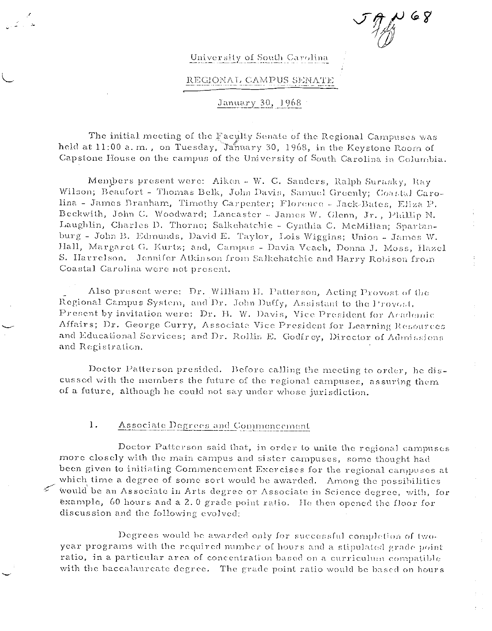$68$ 

# University of South Carolina

## REGIONAL CAMPUS SENATE

## January 30, 1968

The initial meeting of the Faculty Senate of the Regional Campuses was held at 11:00 a.m., on Tuesday, January 30, 1968, in the Keystone Room of Capstone House on the campus of the University of South Carolina in Columbia.

Members present were: Aiken - W. C. Sanders, Ralph Surasky, Ray Wilson; Beaufort - Thomas Belk, John Davis, Samuel Greenly; Coastal Carolina - James Branham, Timothy Carpenter; Florence - Jack-Bates, Eliza P. Beckwith, John C. Woodward; Lancaster - James W. Glenn, Jr., Phillip N. Laughlin, Charles D. Thorne; Salkehatchie - Cynthia C. McMillan; Spartanburg - John B. Edmunds, David E. Taylor, Lois Wiggins; Union - James W. Hall, Margaret G. Kurtz; and, Campus - Davia Veach, Donna J. Moss, Hazel S. Harrelson. Jennifer Atkinson from Salkehatchie and Harry Robison from Coastal Carolina were not present.

Also present were: Dr. William H. Patterson, Acting Provost of the Regional Campus System, and Dr. John Duffy, Assistant to the Provost. Present by invitation were: Dr. H. W. Davis, Vice President for Academic Affairs; Dr. George Curry, Associate Vice President for Learning Resources and Educational Services; and Dr. Rollin E. Godfrey, Director of Admissions and Registration.

Doctor Patterson presided. Before calling the meeting to order, he discussed with the members the future of the regional campuses, assuring them of a future, although he could not say under whose jurisdiction.

#### 1. Associate Degrees and Commencement

Doctor Patterson said that, in order to unite the regional campuses more closely with the main campus and sister campuses, some thought had been given to initiating Commencement Exercises for the regional campuses at which time a degree of some sort would be awarded. Among the possibilities would be an Associate in Arts degree or Associate in Science degree, with, for éxample, 60 hours and a 2.0 grade point ratio. He then opened the floor for discussion and the following evolved:

Degrees would be awarded only for successful completion of twoyear programs with the required number of hours and a stipulated grade point ratio, in a particular area of concentration based on a curriculum compatible with the baccalaureate degree. The grade point ratio would be based on hours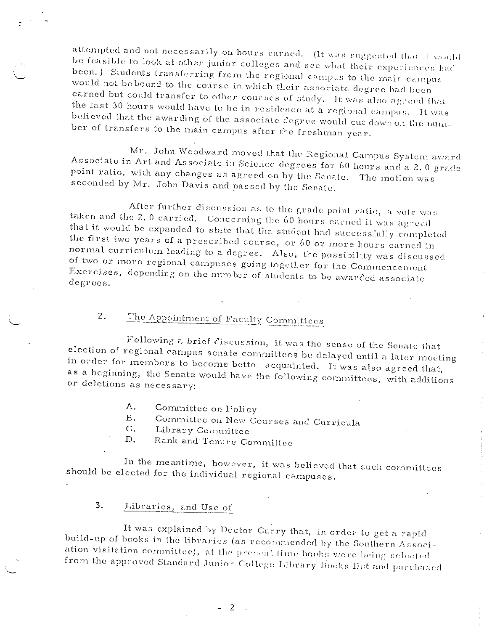attempted and not necessarily on hours carned. (It was suggested that it would be feasible to look at other junior colleges and see what their experiences had been.) Students transferring from the regional campus to the main campus would not be bound to the course in which their associate degree had been earned but could transfer to other courses of study. It was also agreed that the last 30 hours would have to be in residence at a regional campus. It was believed that the awarding of the associate degree would cut down on the number of transfers to the main campus after the freshman year.

Mr. John Woodward moved that the Regional Campus System award Associate in Art and Associate in Science degrees for 60 hours and a 2.0 grade point ratio, with any changes as agreed on by the Senate. The motion was seconded by Mr. John Davis and passed by the Senate.

After further discussion as to the grade point ratio, a vote was taken and the 2.0 carried. Concerning the 60 hours earned it was agreed that it would be expanded to state that the student had successfully completed the first two years of a prescribed course, or 60 or more hours carned in normal curriculum leading to a degree. Also, the possibility was discussed of two or more regional campuses going together for the Commencement Exercises, depending on the number of students to be awarded associate degrees.

### The Appointment of Faculty Committees 2.

Following a brief discussion, it was the sense of the Senate that election of regional campus senate committees be delayed until a later meeting in order for members to become better acquainted. It was also agreed that, as a beginning, the Senate would have the following committees, with additions or deletions as necessary:

- А. Committee on Policy
- Committee on New Courses and Curricula **B.**
- $C.$ Library Committee
- Rank and Tenure Committee  $D<sub>1</sub>$

In the meantime, however, it was believed that such committees should be elected for the individual regional campuses.

#### 3. Libraries, and Use of

It was explained by Doctor Curry that, in order to get a rapid build-up of books in the libraries (as recommended by the Southern Association visitation committee), at the present time books were being selected from the approved Standard Junior College Library Books list and purchased

 $-2-$